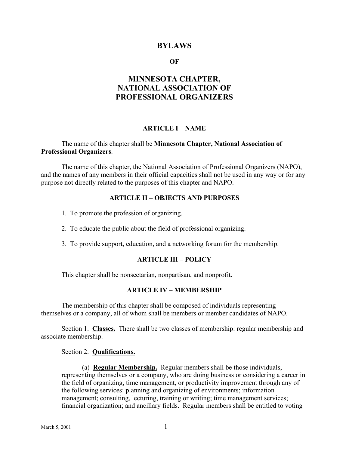### **BYLAWS**

#### **OF**

# **MINNESOTA CHAPTER, NATIONAL ASSOCIATION OF PROFESSIONAL ORGANIZERS**

## **ARTICLE I – NAME**

#### The name of this chapter shall be **Minnesota Chapter, National Association of Professional Organizers**.

The name of this chapter, the National Association of Professional Organizers (NAPO), and the names of any members in their official capacities shall not be used in any way or for any purpose not directly related to the purposes of this chapter and NAPO.

#### **ARTICLE II – OBJECTS AND PURPOSES**

- 1. To promote the profession of organizing.
- 2. To educate the public about the field of professional organizing.
- 3. To provide support, education, and a networking forum for the membership.

#### **ARTICLE III – POLICY**

This chapter shall be nonsectarian, nonpartisan, and nonprofit.

#### **ARTICLE IV – MEMBERSHIP**

The membership of this chapter shall be composed of individuals representing themselves or a company, all of whom shall be members or member candidates of NAPO.

Section 1. **Classes.** There shall be two classes of membership: regular membership and associate membership.

Section 2. **Qualifications.**

(a) **Regular Membership.** Regular members shall be those individuals, representing themselves or a company, who are doing business or considering a career in the field of organizing, time management, or productivity improvement through any of the following services: planning and organizing of environments; information management; consulting, lecturing, training or writing; time management services; financial organization; and ancillary fields. Regular members shall be entitled to voting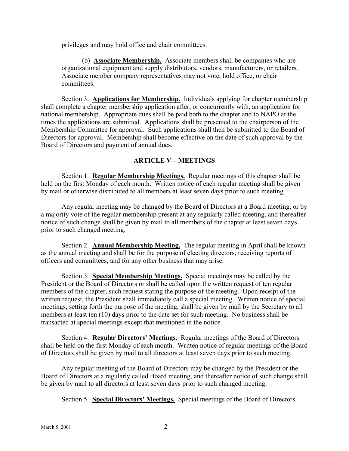privileges and may hold office and chair committees.

(b) **Associate Membership.** Associate members shall be companies who are organizational equipment and supply distributors, vendors, manufacturers, or retailers. Associate member company representatives may not vote, hold office, or chair committees.

Section 3. **Applications for Membership.** Individuals applying for chapter membership shall complete a chapter membership application after, or concurrently with, an application for national membership. Appropriate dues shall be paid both to the chapter and to NAPO at the times the applications are submitted. Applications shall be presented to the chairperson of the Membership Committee for approval. Such applications shall then be submitted to the Board of Directors for approval. Membership shall become effective on the date of such approval by the Board of Directors and payment of annual dues.

### **ARTICLE V – MEETINGS**

Section 1. **Regular Membership Meetings.** Regular meetings of this chapter shall be held on the first Monday of each month. Written notice of each regular meeting shall be given by mail or otherwise distributed to all members at least seven days prior to such meeting.

Any regular meeting may be changed by the Board of Directors at a Board meeting, or by a majority vote of the regular membership present at any regularly called meeting, and thereafter notice of such change shall be given by mail to all members of the chapter at least seven days prior to such changed meeting.

Section 2. **Annual Membership Meeting.** The regular meeting in April shall be known as the annual meeting and shall be for the purpose of electing directors, receiving reports of officers and committees, and for any other business that may arise.

Section 3. **Special Membership Meetings.** Special meetings may be called by the President or the Board of Directors or shall be called upon the written request of ten regular members of the chapter, such request stating the purpose of the meeting. Upon receipt of the written request, the President shall immediately call a special meeting. Written notice of special meetings, setting forth the purpose of the meeting, shall be given by mail by the Secretary to all members at least ten (10) days prior to the date set for such meeting. No business shall be transacted at special meetings except that mentioned in the notice.

Section 4. **Regular Directors' Meetings.** Regular meetings of the Board of Directors shall be held on the first Monday of each month. Written notice of regular meetings of the Board of Directors shall be given by mail to all directors at least seven days prior to such meeting.

Any regular meeting of the Board of Directors may be changed by the President or the Board of Directors at a regularly called Board meeting, and thereafter notice of such change shall be given by mail to all directors at least seven days prior to such changed meeting.

Section 5. **Special Directors' Meetings.** Special meetings of the Board of Directors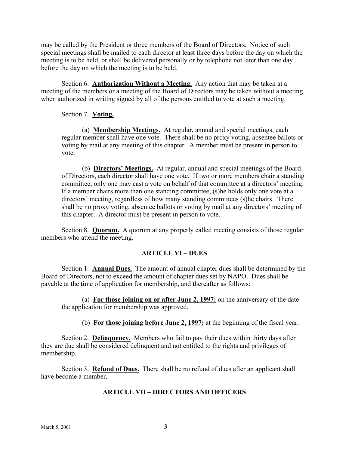may be called by the President or three members of the Board of Directors. Notice of such special meetings shall be mailed to each director at least three days before the day on which the meeting is to be held, or shall be delivered personally or by telephone not later than one day before the day on which the meeting is to be held.

Section 6. **Authorization Without a Meeting.** Any action that may be taken at a meeting of the members or a meeting of the Board of Directors may be taken without a meeting when authorized in writing signed by all of the persons entitled to vote at such a meeting.

### Section 7. **Voting.**

(a) **Membership Meetings.** At regular, annual and special meetings, each regular member shall have one vote. There shall be no proxy voting, absentee ballots or voting by mail at any meeting of this chapter. A member must be present in person to vote.

(b) **Directors' Meetings.** At regular, annual and special meetings of the Board of Directors, each director shall have one vote. If two or more members chair a standing committee, only one may cast a vote on behalf of that committee at a directors' meeting. If a member chairs more than one standing committee, (s)he holds only one vote at a directors' meeting, regardless of how many standing committees (s)he chairs. There shall be no proxy voting, absentee ballots or voting by mail at any directors' meeting of this chapter. A director must be present in person to vote.

Section 8. **Quorum.** A quorum at any properly called meeting consists of those regular members who attend the meeting.

### **ARTICLE VI – DUES**

Section 1. **Annual Dues.** The amount of annual chapter dues shall be determined by the Board of Directors, not to exceed the amount of chapter dues set by NAPO. Dues shall be payable at the time of application for membership, and thereafter as follows:

(a) **For those joining on or after June 2, 1997:** on the anniversary of the date the application for membership was approved.

(b) **For those joining before June 2, 1997:** at the beginning of the fiscal year.

Section 2. **Delinquency.** Members who fail to pay their dues within thirty days after they are due shall be considered delinquent and not entitled to the rights and privileges of membership.

Section 3. **Refund of Dues.** There shall be no refund of dues after an applicant shall have become a member.

# **ARTICLE VII – DIRECTORS AND OFFICERS**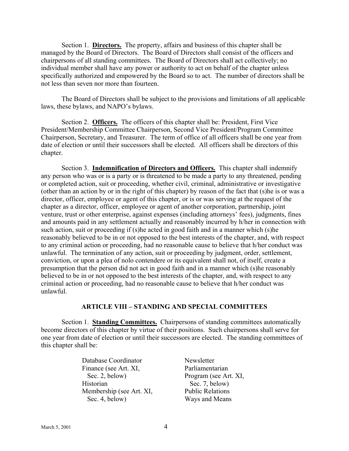Section 1. **Directors.** The property, affairs and business of this chapter shall be managed by the Board of Directors. The Board of Directors shall consist of the officers and chairpersons of all standing committees. The Board of Directors shall act collectively; no individual member shall have any power or authority to act on behalf of the chapter unless specifically authorized and empowered by the Board so to act. The number of directors shall be not less than seven nor more than fourteen.

The Board of Directors shall be subject to the provisions and limitations of all applicable laws, these bylaws, and NAPO's bylaws.

Section 2. **Officers.** The officers of this chapter shall be: President, First Vice President/Membership Committee Chairperson, Second Vice President/Program Committee Chairperson, Secretary, and Treasurer. The term of office of all officers shall be one year from date of election or until their successors shall be elected. All officers shall be directors of this chapter.

Section 3. **Indemnification of Directors and Officers.** This chapter shall indemnify any person who was or is a party or is threatened to be made a party to any threatened, pending or completed action, suit or proceeding, whether civil, criminal, administrative or investigative (other than an action by or in the right of this chapter) by reason of the fact that (s)he is or was a director, officer, employee or agent of this chapter, or is or was serving at the request of the chapter as a director, officer, employee or agent of another corporation, partnership, joint venture, trust or other enterprise, against expenses (including attorneys' fees), judgments, fines and amounts paid in any settlement actually and reasonably incurred by h/her in connection with such action, suit or proceeding if (s)he acted in good faith and in a manner which (s)he reasonably believed to be in or not opposed to the best interests of the chapter, and, with respect to any criminal action or proceeding, had no reasonable cause to believe that h/her conduct was unlawful. The termination of any action, suit or proceeding by judgment, order, settlement, conviction, or upon a plea of nolo contendere or its equivalent shall not, of itself, create a presumption that the person did not act in good faith and in a manner which (s)he reasonably believed to be in or not opposed to the best interests of the chapter, and, with respect to any criminal action or proceeding, had no reasonable cause to believe that h/her conduct was unlawful.

### **ARTICLE VIII – STANDING AND SPECIAL COMMITTEES**

Section 1. **Standing Committees.** Chairpersons of standing committees automatically become directors of this chapter by virtue of their positions. Such chairpersons shall serve for one year from date of election or until their successors are elected. The standing committees of this chapter shall be:

> Database Coordinator Newsletter Finance (see Art. XI, Parliamentarian Sec. 2, below) Program (see Art. XI, Historian Sec. 7, below) Membership (see Art. XI, Public Relations Sec. 4, below) Ways and Means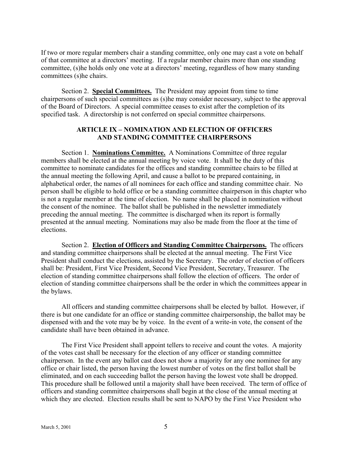If two or more regular members chair a standing committee, only one may cast a vote on behalf of that committee at a directors' meeting. If a regular member chairs more than one standing committee, (s)he holds only one vote at a directors' meeting, regardless of how many standing committees (s)he chairs.

Section 2. **Special Committees.** The President may appoint from time to time chairpersons of such special committees as (s)he may consider necessary, subject to the approval of the Board of Directors. A special committee ceases to exist after the completion of its specified task. A directorship is not conferred on special committee chairpersons.

### **ARTICLE IX – NOMINATION AND ELECTION OF OFFICERS AND STANDING COMMITTEE CHAIRPERSONS**

Section 1. **Nominations Committee.** A Nominations Committee of three regular members shall be elected at the annual meeting by voice vote. It shall be the duty of this committee to nominate candidates for the offices and standing committee chairs to be filled at the annual meeting the following April, and cause a ballot to be prepared containing, in alphabetical order, the names of all nominees for each office and standing committee chair. No person shall be eligible to hold office or be a standing committee chairperson in this chapter who is not a regular member at the time of election. No name shall be placed in nomination without the consent of the nominee. The ballot shall be published in the newsletter immediately preceding the annual meeting. The committee is discharged when its report is formally presented at the annual meeting. Nominations may also be made from the floor at the time of elections.

Section 2. **Election of Officers and Standing Committee Chairpersons.** The officers and standing committee chairpersons shall be elected at the annual meeting. The First Vice President shall conduct the elections, assisted by the Secretary. The order of election of officers shall be: President, First Vice President, Second Vice President, Secretary, Treasurer. The election of standing committee chairpersons shall follow the election of officers. The order of election of standing committee chairpersons shall be the order in which the committees appear in the bylaws.

All officers and standing committee chairpersons shall be elected by ballot. However, if there is but one candidate for an office or standing committee chairpersonship, the ballot may be dispensed with and the vote may be by voice. In the event of a write-in vote, the consent of the candidate shall have been obtained in advance.

The First Vice President shall appoint tellers to receive and count the votes. A majority of the votes cast shall be necessary for the election of any officer or standing committee chairperson. In the event any ballot cast does not show a majority for any one nominee for any office or chair listed, the person having the lowest number of votes on the first ballot shall be eliminated, and on each succeeding ballot the person having the lowest vote shall be dropped. This procedure shall be followed until a majority shall have been received. The term of office of officers and standing committee chairpersons shall begin at the close of the annual meeting at which they are elected. Election results shall be sent to NAPO by the First Vice President who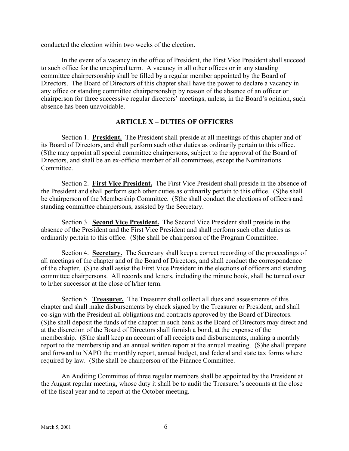conducted the election within two weeks of the election.

In the event of a vacancy in the office of President, the First Vice President shall succeed to such office for the unexpired term. A vacancy in all other offices or in any standing committee chairpersonship shall be filled by a regular member appointed by the Board of Directors. The Board of Directors of this chapter shall have the power to declare a vacancy in any office or standing committee chairpersonship by reason of the absence of an officer or chairperson for three successive regular directors' meetings, unless, in the Board's opinion, such absence has been unavoidable.

### **ARTICLE X – DUTIES OF OFFICERS**

Section 1. **President.** The President shall preside at all meetings of this chapter and of its Board of Directors, and shall perform such other duties as ordinarily pertain to this office. (S)he may appoint all special committee chairpersons, subject to the approval of the Board of Directors, and shall be an ex-officio member of all committees, except the Nominations Committee.

Section 2. **First Vice President.** The First Vice President shall preside in the absence of the President and shall perform such other duties as ordinarily pertain to this office. (S)he shall be chairperson of the Membership Committee. (S)he shall conduct the elections of officers and standing committee chairpersons, assisted by the Secretary.

Section 3. **Second Vice President.** The Second Vice President shall preside in the absence of the President and the First Vice President and shall perform such other duties as ordinarily pertain to this office. (S)he shall be chairperson of the Program Committee.

Section 4. **Secretary.** The Secretary shall keep a correct recording of the proceedings of all meetings of the chapter and of the Board of Directors, and shall conduct the correspondence of the chapter. (S)he shall assist the First Vice President in the elections of officers and standing committee chairpersons. All records and letters, including the minute book, shall be turned over to h/her successor at the close of h/her term.

Section 5. **Treasurer.** The Treasurer shall collect all dues and assessments of this chapter and shall make disbursements by check signed by the Treasurer or President, and shall co-sign with the President all obligations and contracts approved by the Board of Directors. (S)he shall deposit the funds of the chapter in such bank as the Board of Directors may direct and at the discretion of the Board of Directors shall furnish a bond, at the expense of the membership. (S)he shall keep an account of all receipts and disbursements, making a monthly report to the membership and an annual written report at the annual meeting. (S)he shall prepare and forward to NAPO the monthly report, annual budget, and federal and state tax forms where required by law. (S)he shall be chairperson of the Finance Committee.

An Auditing Committee of three regular members shall be appointed by the President at the August regular meeting, whose duty it shall be to audit the Treasurer's accounts at the close of the fiscal year and to report at the October meeting.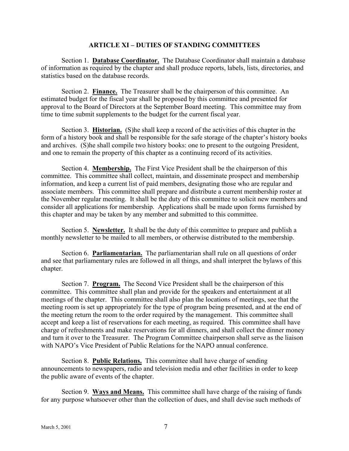#### **ARTICLE XI – DUTIES OF STANDING COMMITTEES**

Section 1. **Database Coordinator.** The Database Coordinator shall maintain a database of information as required by the chapter and shall produce reports, labels, lists, directories, and statistics based on the database records.

Section 2. **Finance.** The Treasurer shall be the chairperson of this committee. An estimated budget for the fiscal year shall be proposed by this committee and presented for approval to the Board of Directors at the September Board meeting. This committee may from time to time submit supplements to the budget for the current fiscal year.

Section 3. **Historian.** (S)he shall keep a record of the activities of this chapter in the form of a history book and shall be responsible for the safe storage of the chapter's history books and archives. (S)he shall compile two history books: one to present to the outgoing President, and one to remain the property of this chapter as a continuing record of its activities.

Section 4. **Membership.** The First Vice President shall be the chairperson of this committee. This committee shall collect, maintain, and disseminate prospect and membership information, and keep a current list of paid members, designating those who are regular and associate members. This committee shall prepare and distribute a current membership roster at the November regular meeting. It shall be the duty of this committee to solicit new members and consider all applications for membership. Applications shall be made upon forms furnished by this chapter and may be taken by any member and submitted to this committee.

Section 5. **Newsletter.** It shall be the duty of this committee to prepare and publish a monthly newsletter to be mailed to all members, or otherwise distributed to the membership.

Section 6. **Parliamentarian.** The parliamentarian shall rule on all questions of order and see that parliamentary rules are followed in all things, and shall interpret the bylaws of this chapter.

Section 7. **Program.** The Second Vice President shall be the chairperson of this committee. This committee shall plan and provide for the speakers and entertainment at all meetings of the chapter. This committee shall also plan the locations of meetings, see that the meeting room is set up appropriately for the type of program being presented, and at the end of the meeting return the room to the order required by the management. This committee shall accept and keep a list of reservations for each meeting, as required. This committee shall have charge of refreshments and make reservations for all dinners, and shall collect the dinner money and turn it over to the Treasurer. The Program Committee chairperson shall serve as the liaison with NAPO's Vice President of Public Relations for the NAPO annual conference.

Section 8. **Public Relations.** This committee shall have charge of sending announcements to newspapers, radio and television media and other facilities in order to keep the public aware of events of the chapter.

Section 9. **Ways and Means.** This committee shall have charge of the raising of funds for any purpose whatsoever other than the collection of dues, and shall devise such methods of